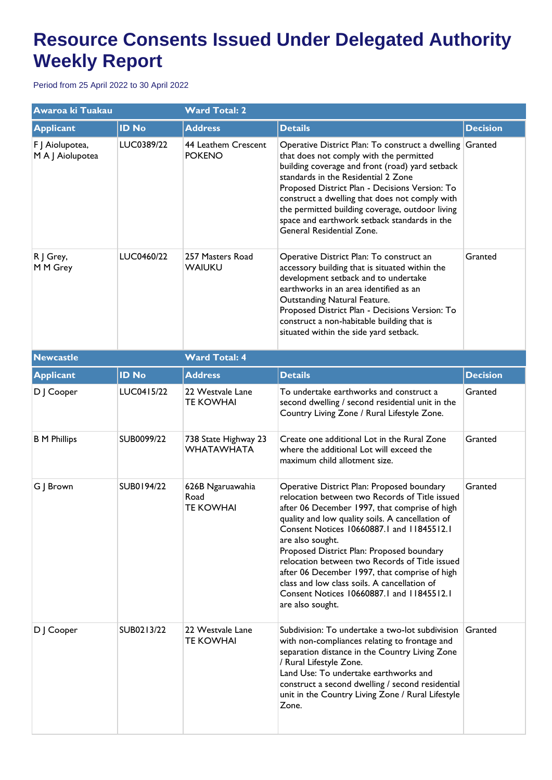## **Resource Consents Issued Under Delegated Authority Weekly Report**

Period from 25 April 2022 to 30 April 2022

| Awaroa ki Tuakau                    |                   | <b>Ward Total: 2</b>                         |                                                                                                                                                                                                                                                                                                                                                                                                                                                                                                                                     |                 |  |
|-------------------------------------|-------------------|----------------------------------------------|-------------------------------------------------------------------------------------------------------------------------------------------------------------------------------------------------------------------------------------------------------------------------------------------------------------------------------------------------------------------------------------------------------------------------------------------------------------------------------------------------------------------------------------|-----------------|--|
| <b>Applicant</b>                    | <b>ID No</b>      | <b>Address</b>                               | <b>Details</b>                                                                                                                                                                                                                                                                                                                                                                                                                                                                                                                      | <b>Decision</b> |  |
| F J Aiolupotea,<br>M A J Aiolupotea | LUC0389/22        | 44 Leathem Crescent<br><b>POKENO</b>         | Operative District Plan: To construct a dwelling Granted<br>that does not comply with the permitted<br>building coverage and front (road) yard setback<br>standards in the Residential 2 Zone<br>Proposed District Plan - Decisions Version: To<br>construct a dwelling that does not comply with<br>the permitted building coverage, outdoor living<br>space and earthwork setback standards in the<br>General Residential Zone.                                                                                                   |                 |  |
| R J Grey,<br>M M Grey               | LUC0460/22        | 257 Masters Road<br><b>WAIUKU</b>            | Operative District Plan: To construct an<br>accessory building that is situated within the<br>development setback and to undertake<br>earthworks in an area identified as an<br>Outstanding Natural Feature.<br>Proposed District Plan - Decisions Version: To<br>construct a non-habitable building that is<br>situated within the side yard setback.                                                                                                                                                                              | Granted         |  |
| <b>Newcastle</b>                    |                   | <b>Ward Total: 4</b>                         |                                                                                                                                                                                                                                                                                                                                                                                                                                                                                                                                     |                 |  |
| <b>Applicant</b>                    | <b>ID No</b>      | <b>Address</b>                               | <b>Details</b>                                                                                                                                                                                                                                                                                                                                                                                                                                                                                                                      | <b>Decision</b> |  |
| D J Cooper                          | LUC0415/22        | 22 Westvale Lane<br>TE KOWHAI                | To undertake earthworks and construct a<br>second dwelling / second residential unit in the<br>Country Living Zone / Rural Lifestyle Zone.                                                                                                                                                                                                                                                                                                                                                                                          | Granted         |  |
| <b>B</b> M Phillips                 | SUB0099/22        | 738 State Highway 23<br><b>WHATAWHATA</b>    | Create one additional Lot in the Rural Zone<br>where the additional Lot will exceed the<br>maximum child allotment size.                                                                                                                                                                                                                                                                                                                                                                                                            | Granted         |  |
| G J Brown                           | <b>SUB0194/22</b> | 626B Ngaruawahia<br>Road<br><b>TE KOWHAI</b> | Operative District Plan: Proposed boundary<br>relocation between two Records of Title issued<br>after 06 December 1997, that comprise of high<br>quality and low quality soils. A cancellation of<br>Consent Notices 10660887.1 and 11845512.1<br>are also sought.<br>Proposed District Plan: Proposed boundary<br>relocation between two Records of Title issued<br>after 06 December 1997, that comprise of high<br>class and low class soils. A cancellation of<br>Consent Notices 10660887.1 and 11845512.1<br>are also sought. | Granted         |  |
| D   Cooper                          | SUB0213/22        | 22 Westvale Lane<br><b>TE KOWHAI</b>         | Subdivision: To undertake a two-lot subdivision<br>with non-compliances relating to frontage and<br>separation distance in the Country Living Zone<br>/ Rural Lifestyle Zone.<br>Land Use: To undertake earthworks and<br>construct a second dwelling / second residential<br>unit in the Country Living Zone / Rural Lifestyle<br>Zone.                                                                                                                                                                                            | Granted         |  |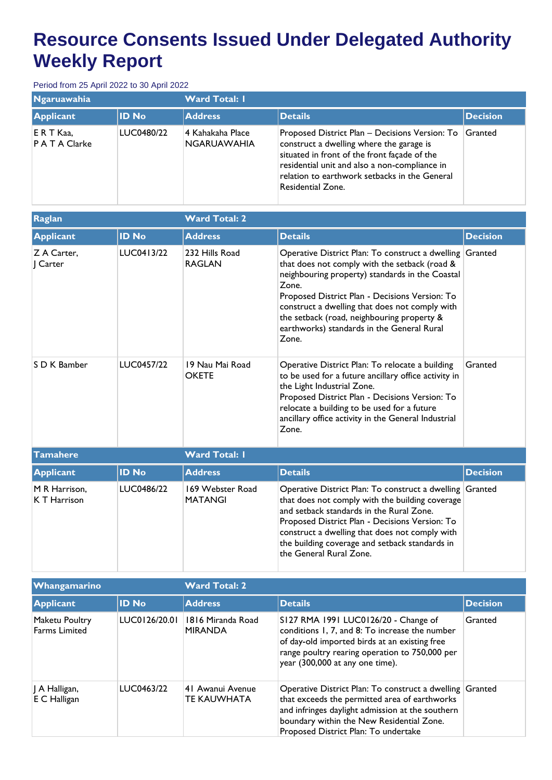## **Resource Consents Issued Under Delegated Authority Weekly Report**

Period from 25 April 2022 to 30 April 2022

| <b>Ngaruawahia</b>         |              | <b>Ward Total: I</b>            |                                                                                                                                                                                                                                                                   |                 |  |
|----------------------------|--------------|---------------------------------|-------------------------------------------------------------------------------------------------------------------------------------------------------------------------------------------------------------------------------------------------------------------|-----------------|--|
| Applicant                  | <b>ID No</b> | <b>Address</b>                  | <b>Details</b>                                                                                                                                                                                                                                                    | <b>Decision</b> |  |
| ERT Kaa,<br>P A T A Clarke | LUC0480/22   | 4 Kahakaha Place<br>NGARUAWAHIA | Proposed District Plan - Decisions Version: To<br>construct a dwelling where the garage is<br>situated in front of the front façade of the<br>residential unit and also a non-compliance in<br>relation to earthwork setbacks in the General<br>Residential Zone. | Granted         |  |

| Raglan                        |              | <b>Ward Total: 2</b>               |                                                                                                                                                                                                                                                                                                                                                                                |                 |  |
|-------------------------------|--------------|------------------------------------|--------------------------------------------------------------------------------------------------------------------------------------------------------------------------------------------------------------------------------------------------------------------------------------------------------------------------------------------------------------------------------|-----------------|--|
| <b>Applicant</b>              | <b>ID No</b> | <b>Address</b>                     | <b>Details</b>                                                                                                                                                                                                                                                                                                                                                                 | <b>Decision</b> |  |
| Z A Carter.<br>  Carter       | LUC0413/22   | 232 Hills Road<br><b>RAGLAN</b>    | Operative District Plan: To construct a dwelling Granted<br>that does not comply with the setback (road &<br>neighbouring property) standards in the Coastal<br>Zone.<br>Proposed District Plan - Decisions Version: To<br>construct a dwelling that does not comply with<br>the setback (road, neighbouring property &<br>earthworks) standards in the General Rural<br>Zone. |                 |  |
| S D K Bamber                  | LUC0457/22   | 19 Nau Mai Road<br><b>OKETE</b>    | Operative District Plan: To relocate a building<br>to be used for a future ancillary office activity in<br>the Light Industrial Zone.<br>Proposed District Plan - Decisions Version: To<br>relocate a building to be used for a future<br>ancillary office activity in the General Industrial<br>Zone.                                                                         | Granted         |  |
| <b>Tamahere</b>               |              | <b>Ward Total: I</b>               |                                                                                                                                                                                                                                                                                                                                                                                |                 |  |
| <b>Applicant</b>              | <b>ID No</b> | <b>Address</b>                     | <b>Details</b>                                                                                                                                                                                                                                                                                                                                                                 | <b>Decision</b> |  |
| M R Harrison.<br>K T Harrison | LUC0486/22   | 169 Webster Road<br><b>MATANGI</b> | Operative District Plan: To construct a dwelling Granted<br>that does not comply with the building coverage<br>and setback standards in the Rural Zone.<br>Proposed District Plan - Decisions Version: To<br>construct a dwelling that does not comply with<br>the building coverage and setback standards in<br>the General Rural Zone.                                       |                 |  |

| <b>Whangamarino</b>                    |               | <b>Ward Total: 2</b>                |                                                                                                                                                                                                                                                    |                 |
|----------------------------------------|---------------|-------------------------------------|----------------------------------------------------------------------------------------------------------------------------------------------------------------------------------------------------------------------------------------------------|-----------------|
| <b>Applicant</b>                       | <b>ID No</b>  | <b>Address</b>                      | <b>Details</b>                                                                                                                                                                                                                                     | <b>Decision</b> |
| Maketu Poultry<br><b>Farms Limited</b> | LUC0126/20.01 | 1816 Miranda Road<br><b>MIRANDA</b> | S127 RMA 1991 LUC0126/20 - Change of<br>conditions 1, 7, and 8: To increase the number<br>of day-old imported birds at an existing free<br>range poultry rearing operation to 750,000 per<br>year (300,000 at any one time).                       | Granted         |
| A Halligan,<br>E C Halligan            | LUC0463/22    | 41 Awanui Avenue<br>TE KAUWHATA     | Operative District Plan: To construct a dwelling Granted<br>that exceeds the permitted area of earthworks<br>and infringes daylight admission at the southern<br>boundary within the New Residential Zone.<br>Proposed District Plan: To undertake |                 |